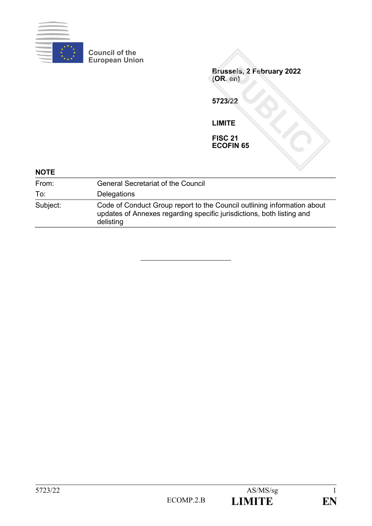

**Council of the European Union**

**Brussels, 2 February 2022 (OR. en) 5723/22 LIMITE FISC 21 ECOFIN 65**

| <b>NOTE</b> |                                                                                                                                                               |
|-------------|---------------------------------------------------------------------------------------------------------------------------------------------------------------|
| From:       | <b>General Secretariat of the Council</b>                                                                                                                     |
| To:         | Delegations                                                                                                                                                   |
| Subject:    | Code of Conduct Group report to the Council outlining information about<br>updates of Annexes regarding specific jurisdictions, both listing and<br>delisting |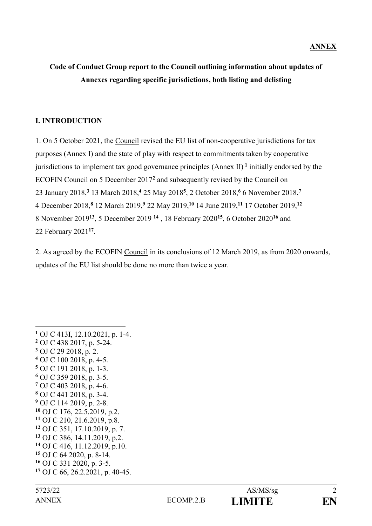# **Code of Conduct Group report to the Council outlining information about updates of Annexes regarding specific jurisdictions, both listing and delisting**

## **I. INTRODUCTION**

1. On 5 October 2021, the Council revised the EU list of non-cooperative jurisdictions for tax purposes (Annex I) and the state of play with respect to commitments taken by cooperative jurisdictions to implement tax good governance principles (Annex II) **<sup>1</sup>** initially endorsed by the ECOFIN Council on 5 December 2017**<sup>2</sup>** and subsequently revised by the Council on January 2018,**<sup>3</sup>** 13 March 2018,**<sup>4</sup>** 25 May 2018**<sup>5</sup>** , 2 October 2018,**<sup>6</sup>** 6 November 2018,**<sup>7</sup>** December 2018,**<sup>8</sup>** 12 March 2019,**<sup>9</sup>** 22 May 2019,**<sup>10</sup>** 14 June 2019,**<sup>11</sup>** 17 October 2019,**<sup>12</sup>** November 2019**<sup>13</sup>**, 5 December 2019 **<sup>14</sup>** , 18 February 2020**<sup>15</sup>**, 6 October 2020**<sup>16</sup>** and February 2021**<sup>17</sup>** .

2. As agreed by the ECOFIN Council in its conclusions of 12 March 2019, as from 2020 onwards, updates of the EU list should be done no more than twice a year.

<sup>&</sup>lt;u>.</u> OJ C 413I, 12.10.2021, p. 1-4. OJ C 438 2017, p. 5-24. OJ C 29 2018, p. 2. OJ C 100 2018, p. 4-5. OJ C 191 2018, p. 1-3. OJ C 359 2018, p. 3-5. OJ C 403 2018, p. 4-6. OJ C 441 2018, p. 3-4. OJ C 114 2019, p. 2-8. OJ C 176, 22.5.2019, p.2. OJ C 210, 21.6.2019, p.8. OJ C 351, 17.10.2019, p. 7. OJ C 386, 14.11.2019, p.2. OJ C 416, 11.12.2019, p.10. OJ C 64 2020, p. 8-14. OJ C 331 2020, p. 3-5. OJ C 66, 26.2.2021, p. 40-45.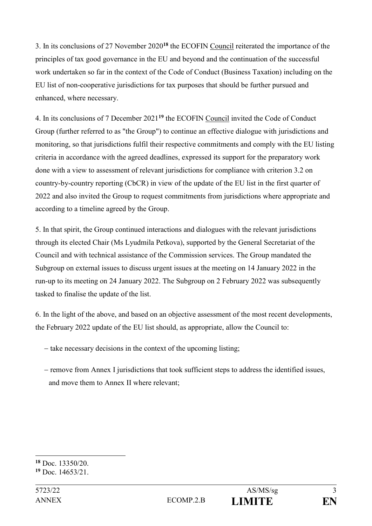3. In its conclusions of 27 November 2020**<sup>18</sup>** the ECOFIN Council reiterated the importance of the principles of tax good governance in the EU and beyond and the continuation of the successful work undertaken so far in the context of the Code of Conduct (Business Taxation) including on the EU list of non-cooperative jurisdictions for tax purposes that should be further pursued and enhanced, where necessary.

4. In its conclusions of 7 December 2021**<sup>19</sup>** the ECOFIN Council invited the Code of Conduct Group (further referred to as "the Group") to continue an effective dialogue with jurisdictions and monitoring, so that jurisdictions fulfil their respective commitments and comply with the EU listing criteria in accordance with the agreed deadlines, expressed its support for the preparatory work done with a view to assessment of relevant jurisdictions for compliance with criterion 3.2 on country-by-country reporting (CbCR) in view of the update of the EU list in the first quarter of 2022 and also invited the Group to request commitments from jurisdictions where appropriate and according to a timeline agreed by the Group.

5. In that spirit, the Group continued interactions and dialogues with the relevant jurisdictions through its elected Chair (Ms Lyudmila Petkova), supported by the General Secretariat of the Council and with technical assistance of the Commission services. The Group mandated the Subgroup on external issues to discuss urgent issues at the meeting on 14 January 2022 in the run-up to its meeting on 24 January 2022. The Subgroup on 2 February 2022 was subsequently tasked to finalise the update of the list.

6. In the light of the above, and based on an objective assessment of the most recent developments, the February 2022 update of the EU list should, as appropriate, allow the Council to:

- $-$  take necessary decisions in the context of the upcoming listing;
- remove from Annex I jurisdictions that took sufficient steps to address the identified issues, and move them to Annex II where relevant;

<sup>1</sup> **<sup>18</sup>** Doc. 13350/20.

**<sup>19</sup>** Doc. 14653/21.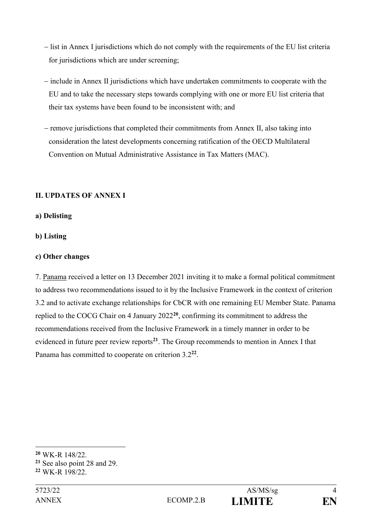- list in Annex I jurisdictions which do not comply with the requirements of the EU list criteria for jurisdictions which are under screening;
- include in Annex II jurisdictions which have undertaken commitments to cooperate with the EU and to take the necessary steps towards complying with one or more EU list criteria that their tax systems have been found to be inconsistent with; and
- $-$  remove jurisdictions that completed their commitments from Annex II, also taking into consideration the latest developments concerning ratification of the OECD Multilateral Convention on Mutual Administrative Assistance in Tax Matters (MAC).

## **II. UPDATES OF ANNEX I**

#### **a) Delisting**

## **b) Listing**

#### **c) Other changes**

7. Panama received a letter on 13 December 2021 inviting it to make a formal political commitment to address two recommendations issued to it by the Inclusive Framework in the context of criterion 3.2 and to activate exchange relationships for CbCR with one remaining EU Member State. Panama replied to the COCG Chair on 4 January 2022**<sup>20</sup>** , confirming its commitment to address the recommendations received from the Inclusive Framework in a timely manner in order to be evidenced in future peer review reports**<sup>21</sup>** . The Group recommends to mention in Annex I that Panama has committed to cooperate on criterion 3.2**<sup>22</sup>** .

**<sup>20</sup>** WK-R 148/22.

**<sup>21</sup>** See also point 28 and 29.

**<sup>22</sup>** WK-R 198/22.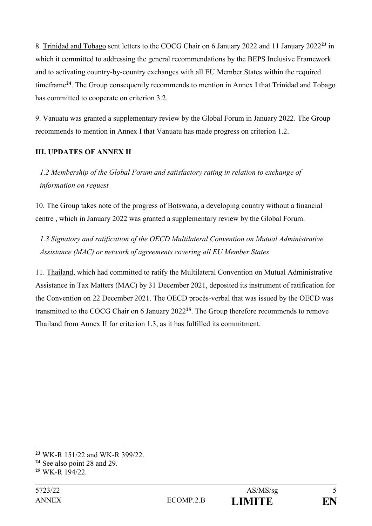8. Trinidad and Tobago sent letters to the COCG Chair on 6 January 2022 and 11 January 2022**<sup>23</sup>** in which it committed to addressing the general recommendations by the BEPS Inclusive Framework and to activating country-by-country exchanges with all EU Member States within the required timeframe**<sup>24</sup>**. The Group consequently recommends to mention in Annex I that Trinidad and Tobago has committed to cooperate on criterion 3.2.

9. Vanuatu was granted a supplementary review by the Global Forum in January 2022. The Group recommends to mention in Annex I that Vanuatu has made progress on criterion 1.2.

# **III. UPDATES OF ANNEX II**

*1.2 Membership of the Global Forum and satisfactory rating in relation to exchange of information on request*

10. The Group takes note of the progress of Botswana, a developing country without a financial centre , which in January 2022 was granted a supplementary review by the Global Forum.

*1.3 Signatory and ratification of the OECD Multilateral Convention on Mutual Administrative Assistance (MAC) or network of agreements covering all EU Member States*

11. Thailand, which had committed to ratify the Multilateral Convention on Mutual Administrative Assistance in Tax Matters (MAC) by 31 December 2021, deposited its instrument of ratification for the Convention on 22 December 2021. The OECD procès-verbal that was issued by the OECD was transmitted to the COCG Chair on 6 January 2022**<sup>25</sup>**. The Group therefore recommends to remove Thailand from Annex II for criterion 1.3, as it has fulfilled its commitment.

**<sup>23</sup>** WK-R 151/22 and WK-R 399/22.

**<sup>24</sup>** See also point 28 and 29.

**<sup>25</sup>** WK-R 194/22.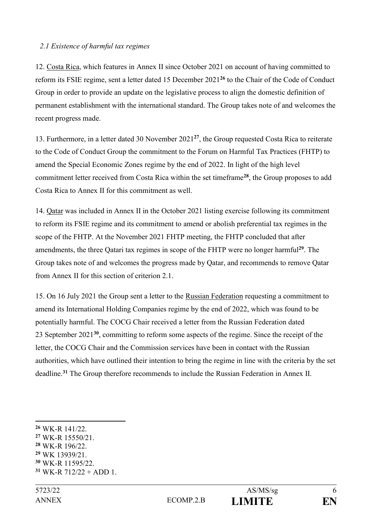#### *2.1 Existence of harmful tax regimes*

12. Costa Rica, which features in Annex II since October 2021 on account of having committed to reform its FSIE regime, sent a letter dated 15 December 2021**<sup>26</sup>** to the Chair of the Code of Conduct Group in order to provide an update on the legislative process to align the domestic definition of permanent establishment with the international standard. The Group takes note of and welcomes the recent progress made.

13. Furthermore, in a letter dated 30 November 2021**<sup>27</sup>**, the Group requested Costa Rica to reiterate to the Code of Conduct Group the commitment to the Forum on Harmful Tax Practices (FHTP) to amend the Special Economic Zones regime by the end of 2022. In light of the high level commitment letter received from Costa Rica within the set timeframe**<sup>28</sup>**, the Group proposes to add Costa Rica to Annex II for this commitment as well.

14. Qatar was included in Annex II in the October 2021 listing exercise following its commitment to reform its FSIE regime and its commitment to amend or abolish preferential tax regimes in the scope of the FHTP. At the November 2021 FHTP meeting, the FHTP concluded that after amendments, the three Qatari tax regimes in scope of the FHTP were no longer harmful**<sup>29</sup>** . The Group takes note of and welcomes the progress made by Qatar, and recommends to remove Qatar from Annex II for this section of criterion 2.1.

15. On 16 July 2021 the Group sent a letter to the Russian Federation requesting a commitment to amend its International Holding Companies regime by the end of 2022, which was found to be potentially harmful. The COCG Chair received a letter from the Russian Federation dated 23 September 2021**<sup>30</sup>**, committing to reform some aspects of the regime. Since the receipt of the letter, the COCG Chair and the Commission services have been in contact with the Russian authorities, which have outlined their intention to bring the regime in line with the criteria by the set deadline.**<sup>31</sup>** The Group therefore recommends to include the Russian Federation in Annex II.

- **<sup>27</sup>** WK-R 15550/21.
- **<sup>28</sup>** WK-R 196/22.
- **<sup>29</sup>** WK 13939/21.
- **<sup>30</sup>** WK-R 11595/22.
- $31$  WK-R  $712/22 + ADD 1$ .

<sup>&</sup>lt;u>.</u> **<sup>26</sup>** WK-R 141/22.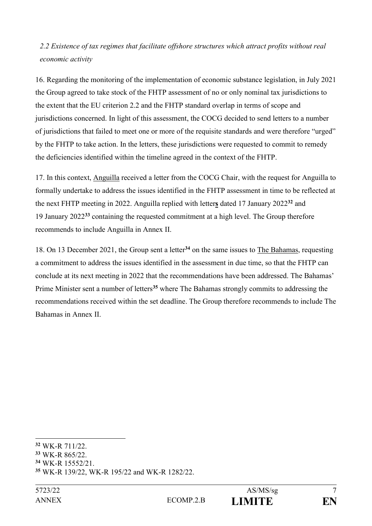# *2.2 Existence of tax regimes that facilitate offshore structures which attract profits without real economic activity*

16. Regarding the monitoring of the implementation of economic substance legislation, in July 2021 the Group agreed to take stock of the FHTP assessment of no or only nominal tax jurisdictions to the extent that the EU criterion 2.2 and the FHTP standard overlap in terms of scope and jurisdictions concerned. In light of this assessment, the COCG decided to send letters to a number of jurisdictions that failed to meet one or more of the requisite standards and were therefore "urged" by the FHTP to take action. In the letters, these jurisdictions were requested to commit to remedy the deficiencies identified within the timeline agreed in the context of the FHTP.

17. In this context, Anguilla received a letter from the COCG Chair, with the request for Anguilla to formally undertake to address the issues identified in the FHTP assessment in time to be reflected at the next FHTP meeting in 2022. Anguilla replied with letter**s** dated 17 January 2022**<sup>32</sup>** and 19 January 2022**<sup>33</sup>** containing the requested commitment at a high level. The Group therefore recommends to include Anguilla in Annex II.

18. On 13 December 2021, the Group sent a letter**<sup>34</sup>** on the same issues to The Bahamas, requesting a commitment to address the issues identified in the assessment in due time, so that the FHTP can conclude at its next meeting in 2022 that the recommendations have been addressed. The Bahamas' Prime Minister sent a number of letters**<sup>35</sup>** where The Bahamas strongly commits to addressing the recommendations received within the set deadline. The Group therefore recommends to include The Bahamas in Annex II.



**<sup>32</sup>** WK-R 711/22.

**<sup>33</sup>** WK-R 865/22.

**<sup>34</sup>** WK-R 15552/21.

**<sup>35</sup>** WK-R 139/22, WK-R 195/22 and WK-R 1282/22.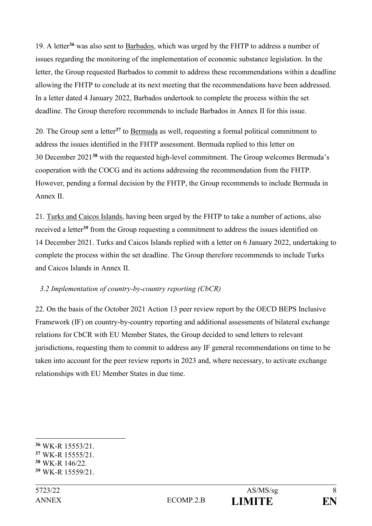19. A letter**<sup>36</sup>** was also sent to Barbados, which was urged by the FHTP to address a number of issues regarding the monitoring of the implementation of economic substance legislation. In the letter, the Group requested Barbados to commit to address these recommendations within a deadline allowing the FHTP to conclude at its next meeting that the recommendations have been addressed. In a letter dated 4 January 2022, Barbados undertook to complete the process within the set deadline. The Group therefore recommends to include Barbados in Annex II for this issue.

20. The Group sent a letter**<sup>37</sup>** to Bermuda as well, requesting a formal political commitment to address the issues identified in the FHTP assessment. Bermuda replied to this letter on 30 December 2021**<sup>38</sup>** with the requested high-level commitment. The Group welcomes Bermuda's cooperation with the COCG and its actions addressing the recommendation from the FHTP. However, pending a formal decision by the FHTP, the Group recommends to include Bermuda in Annex II.

21. Turks and Caicos Islands, having been urged by the FHTP to take a number of actions, also received a letter**<sup>39</sup>** from the Group requesting a commitment to address the issues identified on 14 December 2021. Turks and Caicos Islands replied with a letter on 6 January 2022, undertaking to complete the process within the set deadline. The Group therefore recommends to include Turks and Caicos Islands in Annex II.

# *3.2 Implementation of country-by-country reporting (CbCR)*

22. On the basis of the October 2021 Action 13 peer review report by the OECD BEPS Inclusive Framework (IF) on country-by-country reporting and additional assessments of bilateral exchange relations for CbCR with EU Member States, the Group decided to send letters to relevant jurisdictions, requesting them to commit to address any IF general recommendations on time to be taken into account for the peer review reports in 2023 and, where necessary, to activate exchange relationships with EU Member States in due time.

**<sup>36</sup>** WK-R 15553/21.

**<sup>37</sup>** WK-R 15555/21.

**<sup>38</sup>** WK-R 146/22.

**<sup>39</sup>** WK-R 15559/21.

ANNEX ECOMP.2.B **LIMITE EN**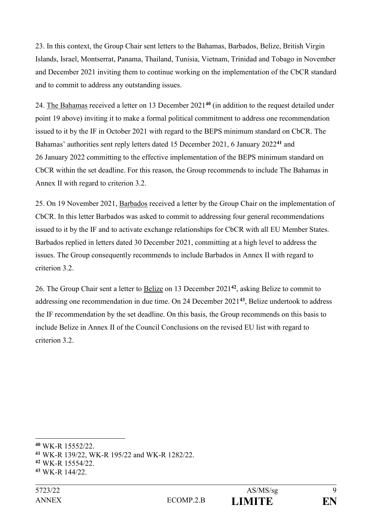23. In this context, the Group Chair sent letters to the Bahamas, Barbados, Belize, British Virgin Islands, Israel, Montserrat, Panama, Thailand, Tunisia, Vietnam, Trinidad and Tobago in November and December 2021 inviting them to continue working on the implementation of the CbCR standard and to commit to address any outstanding issues.

24. The Bahamas received a letter on 13 December 2021**<sup>40</sup>** (in addition to the request detailed under point 19 above) inviting it to make a formal political commitment to address one recommendation issued to it by the IF in October 2021 with regard to the BEPS minimum standard on CbCR. The Bahamas' authorities sent reply letters dated 15 December 2021, 6 January 2022**<sup>41</sup>** and 26 January 2022 committing to the effective implementation of the BEPS minimum standard on CbCR within the set deadline. For this reason, the Group recommends to include The Bahamas in Annex II with regard to criterion 3.2.

25. On 19 November 2021, Barbados received a letter by the Group Chair on the implementation of CbCR. In this letter Barbados was asked to commit to addressing four general recommendations issued to it by the IF and to activate exchange relationships for CbCR with all EU Member States. Barbados replied in letters dated 30 December 2021, committing at a high level to address the issues. The Group consequently recommends to include Barbados in Annex II with regard to criterion 3.2.

26. The Group Chair sent a letter to Belize on 13 December 2021**<sup>42</sup>**, asking Belize to commit to addressing one recommendation in due time. On 24 December 2021**<sup>43</sup>** , Belize undertook to address the IF recommendation by the set deadline. On this basis, the Group recommends on this basis to include Belize in Annex II of the Council Conclusions on the revised EU list with regard to criterion 3.2.

**<sup>40</sup>** WK-R 15552/22.

**<sup>41</sup>** WK-R 139/22, WK-R 195/22 and WK-R 1282/22.

**<sup>42</sup>** WK-R 15554/22.

**<sup>43</sup>** WK-R 144/22.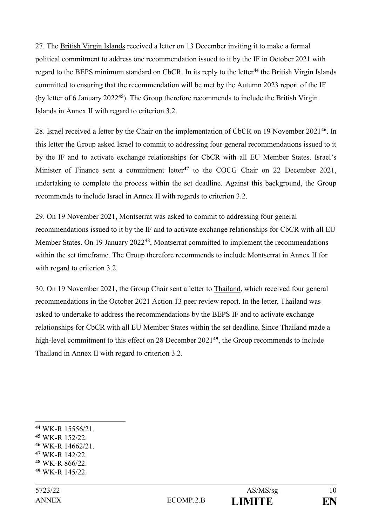27. The British Virgin Islands received a letter on 13 December inviting it to make a formal political commitment to address one recommendation issued to it by the IF in October 2021 with regard to the BEPS minimum standard on CbCR. In its reply to the letter**<sup>44</sup>** the British Virgin Islands committed to ensuring that the recommendation will be met by the Autumn 2023 report of the IF (by letter of 6 January 2022**<sup>45</sup>**). The Group therefore recommends to include the British Virgin Islands in Annex II with regard to criterion 3.2.

28. Israel received a letter by the Chair on the implementation of CbCR on 19 November 2021**<sup>46</sup>**. In this letter the Group asked Israel to commit to addressing four general recommendations issued to it by the IF and to activate exchange relationships for CbCR with all EU Member States. Israel's Minister of Finance sent a commitment letter<sup>47</sup> to the COCG Chair on 22 December 2021, undertaking to complete the process within the set deadline. Against this background, the Group recommends to include Israel in Annex II with regards to criterion 3.2.

29. On 19 November 2021, Montserrat was asked to commit to addressing four general recommendations issued to it by the IF and to activate exchange relationships for CbCR with all EU Member States. On 19 January 2022<sup>48</sup>, Montserrat committed to implement the recommendations within the set timeframe. The Group therefore recommends to include Montserrat in Annex II for with regard to criterion 3.2.

30. On 19 November 2021, the Group Chair sent a letter to Thailand, which received four general recommendations in the October 2021 Action 13 peer review report. In the letter, Thailand was asked to undertake to address the recommendations by the BEPS IF and to activate exchange relationships for CbCR with all EU Member States within the set deadline. Since Thailand made a high-level commitment to this effect on 28 December 2021**<sup>49</sup>**, the Group recommends to include Thailand in Annex II with regard to criterion 3.2.

- **<sup>45</sup>** WK-R 152/22.
- **<sup>46</sup>** WK-R 14662/21.
- **<sup>47</sup>** WK-R 142/22.
- **<sup>48</sup>** WK-R 866/22.
- **<sup>49</sup>** WK-R 145/22.

<u>.</u>

**<sup>44</sup>** WK-R 15556/21.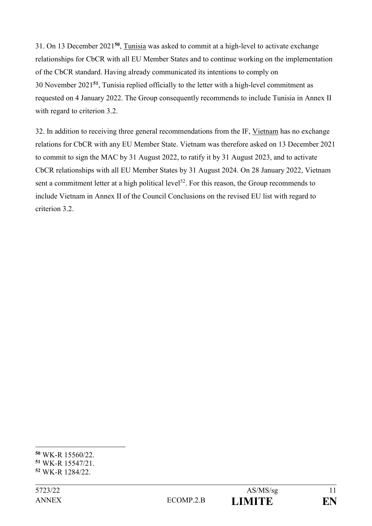31. On 13 December 2021**<sup>50</sup>** , Tunisia was asked to commit at a high-level to activate exchange relationships for CbCR with all EU Member States and to continue working on the implementation of the CbCR standard. Having already communicated its intentions to comply on 30 November 2021**<sup>51</sup>**, Tunisia replied officially to the letter with a high-level commitment as requested on 4 January 2022. The Group consequently recommends to include Tunisia in Annex II with regard to criterion 3.2.

32. In addition to receiving three general recommendations from the IF, Vietnam has no exchange relations for CbCR with any EU Member State. Vietnam was therefore asked on 13 December 2021 to commit to sign the MAC by 31 August 2022, to ratify it by 31 August 2023, and to activate CbCR relationships with all EU Member States by 31 August 2024. On 28 January 2022, Vietnam sent a commitment letter at a high political level<sup>52</sup>. For this reason, the Group recommends to include Vietnam in Annex II of the Council Conclusions on the revised EU list with regard to criterion 3.2.



<sup>1</sup> **<sup>50</sup>** WK-R 15560/22.

**<sup>51</sup>** WK-R 15547/21.

**<sup>52</sup>** WK-R 1284/22.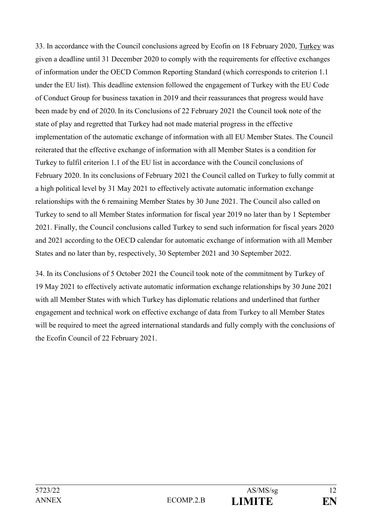33. In accordance with the Council conclusions agreed by Ecofin on 18 February 2020, Turkey was given a deadline until 31 December 2020 to comply with the requirements for effective exchanges of information under the OECD Common Reporting Standard (which corresponds to criterion 1.1 under the EU list). This deadline extension followed the engagement of Turkey with the EU Code of Conduct Group for business taxation in 2019 and their reassurances that progress would have been made by end of 2020 In its Conclusions of 22 February 2021 the Council took note of the state of play and regretted that Turkey had not made material progress in the effective implementation of the automatic exchange of information with all EU Member States. The Council reiterated that the effective exchange of information with all Member States is a condition for Turkey to fulfil criterion 1.1 of the EU list in accordance with the Council conclusions of February 2020. In its conclusions of February 2021 the Council called on Turkey to fully commit at a high political level by 31 May 2021 to effectively activate automatic information exchange relationships with the 6 remaining Member States by 30 June 2021. The Council also called on Turkey to send to all Member States information for fiscal year 2019 no later than by 1 September 2021. Finally, the Council conclusions called Turkey to send such information for fiscal years 2020 and 2021 according to the OECD calendar for automatic exchange of information with all Member States and no later than by, respectively, 30 September 2021 and 30 September 2022.

34. In its Conclusions of 5 October 2021 the Council took note of the commitment by Turkey of 19 May 2021 to effectively activate automatic information exchange relationships by 30 June 2021 with all Member States with which Turkey has diplomatic relations and underlined that further engagement and technical work on effective exchange of data from Turkey to all Member States will be required to meet the agreed international standards and fully comply with the conclusions of the Ecofin Council of 22 February 2021.